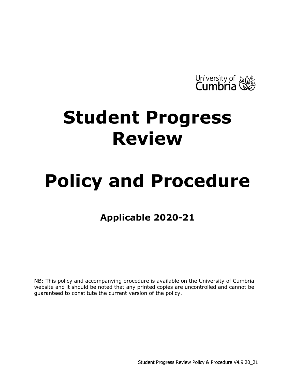

## **Student Progress Review**

# **Policy and Procedure**

## **Applicable 2020-21**

<span id="page-0-0"></span>NB: This policy and accompanying procedure is available on the University of Cumbria website and it should be noted that any printed copies are uncontrolled and cannot be guaranteed to constitute the current version of the policy.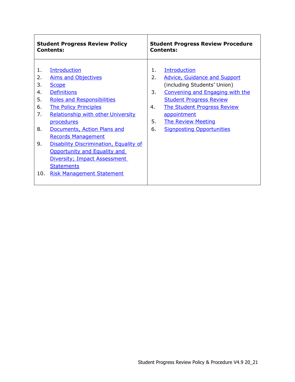| <b>Student Progress Review Policy</b>                                                                                                                                                                                                                                                                                                                                                                                                                                                                                             | <b>Student Progress Review Procedure</b>                                                                                                                                                                                                                                                                                 |  |  |
|-----------------------------------------------------------------------------------------------------------------------------------------------------------------------------------------------------------------------------------------------------------------------------------------------------------------------------------------------------------------------------------------------------------------------------------------------------------------------------------------------------------------------------------|--------------------------------------------------------------------------------------------------------------------------------------------------------------------------------------------------------------------------------------------------------------------------------------------------------------------------|--|--|
| <b>Contents:</b>                                                                                                                                                                                                                                                                                                                                                                                                                                                                                                                  | <b>Contents:</b>                                                                                                                                                                                                                                                                                                         |  |  |
| <b>Introduction</b><br>1.<br>2.<br><b>Aims and Objectives</b><br>3.<br><b>Scope</b><br><b>Definitions</b><br>4.<br>5.<br><b>Roles and Responsibilities</b><br><b>The Policy Principles</b><br>6.<br>7.<br><b>Relationship with other University</b><br>procedures<br>8.<br>Documents, Action Plans and<br><b>Records Management</b><br>9.<br><b>Disability Discrimination, Equality of</b><br><b>Opportunity and Equality and</b><br>Diversity; Impact Assessment<br><b>Statements</b><br>10.<br><b>Risk Management Statement</b> | <b>Introduction</b><br>1.<br>2.<br>Advice, Guidance and Support<br>(including Students' Union)<br>3.<br><b>Convening and Engaging with the</b><br><b>Student Progress Review</b><br><b>The Student Progress Review</b><br>4.<br>appointment<br>5.<br><b>The Review Meeting</b><br>6.<br><b>Signposting Opportunities</b> |  |  |

 $\overline{\phantom{a}}$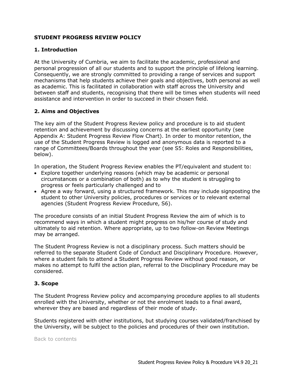### **STUDENT PROGRESS REVIEW POLICY**

#### <span id="page-2-0"></span>**1. Introduction**

At the University of Cumbria, we aim to facilitate the academic, professional and personal progression of all our students and to support the principle of lifelong learning. Consequently, we are strongly committed to providing a range of services and support mechanisms that help students achieve their goals and objectives, both personal as well as academic. This is facilitated in collaboration with staff across the University and between staff and students, recognising that there will be times when students will need assistance and intervention in order to succeed in their chosen field.

#### <span id="page-2-1"></span>**2. Aims and Objectives**

The key aim of the Student Progress Review policy and procedure is to aid student retention and achievement by discussing concerns at the earliest opportunity (see Appendix A: Student Progress Review Flow Chart). In order to monitor retention, the use of the Student Progress Review is logged and anonymous data is reported to a range of Committees/Boards throughout the year (see S5: Roles and Responsibilities, below).

In operation, the Student Progress Review enables the PT/equivalent and student to:

- Explore together underlying reasons (which may be academic or personal circumstances or a combination of both) as to why the student is struggling to progress or feels particularly challenged and to
- Agree a way forward, using a structured framework. This may include signposting the student to other University policies, procedures or services or to relevant external agencies (Student Progress Review Procedure, S6).

The procedure consists of an initial Student Progress Review the aim of which is to recommend ways in which a student might progress on his/her course of study and ultimately to aid retention. Where appropriate, up to two follow-on Review Meetings may be arranged.

The Student Progress Review is not a disciplinary process. Such matters should be referred to the separate Student Code of Conduct and Disciplinary Procedure. However, where a student fails to attend a Student Progress Review without good reason, or makes no attempt to fulfil the action plan, referral to the Disciplinary Procedure may be considered.

#### <span id="page-2-2"></span>**3. Scope**

The Student Progress Review policy and accompanying procedure applies to all students enrolled with the University, whether or not the enrolment leads to a final award, wherever they are based and regardless of their mode of study.

Students registered with other institutions, but studying courses validated/franchised by the University, will be subject to the policies and procedures of their own institution.

<span id="page-2-3"></span>[Back to contents](#page-0-0)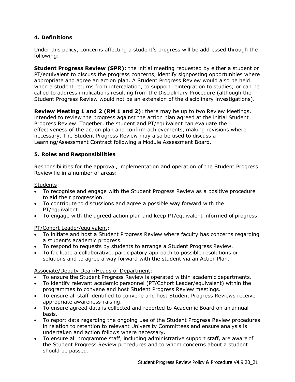## **4. Definitions**

Under this policy, concerns affecting a student's progress will be addressed through the following:

**Student Progress Review (SPR)**: the initial meeting requested by either a student or PT/equivalent to discuss the progress concerns, identify signposting opportunities where appropriate and agree an action plan. A Student Progress Review would also be held when a student returns from intercalation, to support reintegration to studies; or can be called to address implications resulting from the Disciplinary Procedure (although the Student Progress Review would not be an extension of the disciplinary investigations).

**Review Meeting 1 and 2 (RM 1 and 2)**: there may be up to two Review Meetings, intended to review the progress against the action plan agreed at the initial Student Progress Review. Together, the student and PT/equivalent can evaluate the effectiveness of the action plan and confirm achievements, making revisions where necessary. The Student Progress Review may also be used to discuss a Learning/Assessment Contract following a Module Assessment Board.

## <span id="page-3-0"></span>**5. Roles and Responsibilities**

Responsibilities for the approval, implementation and operation of the Student Progress Review lie in a number of areas:

Students:

- To recognise and engage with the Student Progress Review as a positive procedure to aid their progression.
- To contribute to discussions and agree a possible way forward with the PT/equivalent.
- To engage with the agreed action plan and keep PT/equivalent informed of progress.

PT/Cohort Leader/equivalent:

- To initiate and host a Student Progress Review where faculty has concerns regarding a student's academic progress.
- To respond to requests by students to arrange a Student Progress Review.
- To facilitate a collaborative, participatory approach to possible resolutions or solutions and to agree a way forward with the student via an Action Plan.

#### Associate/Deputy Dean/Heads of Department:

- To ensure the Student Progress Review is operated within academic departments.
- To identify relevant academic personnel (PT/Cohort Leader/equivalent) within the programmes to convene and host Student Progress Review meetings.
- To ensure all staff identified to convene and host Student Progress Reviews receive appropriate awareness-raising.
- To ensure agreed data is collected and reported to Academic Board on an annual basis.
- To report data regarding the ongoing use of the Student Progress Review procedures in relation to retention to relevant University Committees and ensure analysis is undertaken and action follows where necessary.
- To ensure all programme staff, including administrative support staff, are aware of the Student Progress Review procedures and to whom concerns about a student should be passed.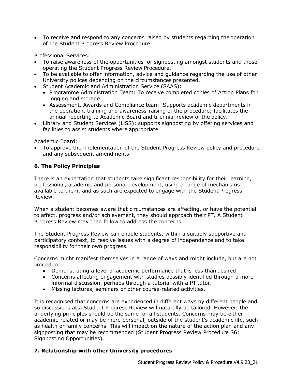• To receive and respond to any concerns raised by students regarding the operation of the Student Progress Review Procedure.

Professional Services:

- To raise awareness of the opportunities for signposting amongst students and those operating the Student Progress Review Procedure.
- To be available to offer information, advice and guidance regarding the use of other University polices depending on the circumstances presented.
- Student Academic and Administration Service (SAAS):
	- Programme Administration Team: To receive completed copies of Action Plans for logging and storage.
	- Assessment, Awards and Compliance team: Supports academic departments in the operation, training and awareness-raising of the procedure; facilitates the annual reporting to Academic Board and triennial review of the policy.
- Library and Student Services (LiSS): supports signposting by offering services and facilities to assist students where appropriate

Academic Board:

• To approve the implementation of the Student Progress Review policy and procedure and any subsequent amendments.

## <span id="page-4-0"></span>**6. The Policy Principles**

There is an expectation that students take significant responsibility for their learning, professional, academic and personal development, using a range of mechanisms available to them, and as such are expected to engage with the Student Progress Review.

When a student becomes aware that circumstances are affecting, or have the potential to affect, progress and/or achievement, they should approach their PT. A Student Progress Review may then follow to address the concerns.

The Student Progress Review can enable students, within a suitably supportive and participatory context, to resolve issues with a degree of independence and to take responsibility for their own progress.

Concerns might manifest themselves in a range of ways and might include, but are not limited to:

- Demonstrating a level of academic performance that is less than desired.
- Concerns affecting engagement with studies possibly identified through a more informal discussion, perhaps through a tutorial with a PT tutor.
- Missing lectures, seminars or other course-related activities.

It is recognised that concerns are experienced in different ways by different people and so discussions at a Student Progress Review will naturally be tailored. However, the underlying principles should be the same for all students. Concerns may be either academic-related or may be more personal, outside of the student's academic life, such as health or family concerns. This will impact on the nature of the action plan and any signposting that may be recommended (Student Progress Review Procedure S6: Signposting Opportunities).

## <span id="page-4-1"></span>**7. Relationship with other University procedures**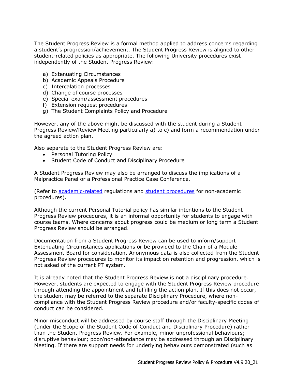The Student Progress Review is a formal method applied to address concerns regarding a student's progression/achievement. The Student Progress Review is aligned to other student-related policies as appropriate. The following University procedures exist independently of the Student Progress Review:

- a) Extenuating Circumstances
- b) Academic Appeals Procedure
- c) Intercalation processes
- d) Change of course processes
- e) Special exam/assessment procedures
- f) Extension request procedures
- g) The Student Complaints Policy and Procedure

However, any of the above might be discussed with the student during a Student Progress Review/Review Meeting particularly a) to c) and form a recommendation under the agreed action plan.

Also separate to the Student Progress Review are:

- Personal Tutoring Policy
- Student Code of Conduct and Disciplinary Procedure

A Student Progress Review may also be arranged to discuss the implications of a Malpractice Panel or a Professional Practice Case Conference.

(Refer to [academic-related](http://my.cumbria.ac.uk/StudentLife/Support/YourStudies/AssessmentandExams/AcademicRegulations.aspx) regulations and [student procedures](http://www.cumbria.ac.uk/studentprocedures) for non-academic procedures).

Although the current Personal Tutorial policy has similar intentions to the Student Progress Review procedures, it is an informal opportunity for students to engage with course teams. Where concerns about progress could be medium or long term a Student Progress Review should be arranged.

Documentation from a Student Progress Review can be used to inform/support Extenuating Circumstances applications or be provided to the Chair of a Module Assessment Board for consideration. Anonymous data is also collected from the Student Progress Review procedures to monitor its impact on retention and progression, which is not asked of the current PT system.

It is already noted that the Student Progress Review is not a disciplinary procedure. However, students are expected to engage with the Student Progress Review procedure through attending the appointment and fulfilling the action plan. If this does not occur, the student may be referred to the separate Disciplinary Procedure, where noncompliance with the Student Progress Review procedure and/or faculty-specific codes of conduct can be considered.

Minor misconduct will be addressed by course staff through the Disciplinary Meeting (under the Scope of the Student Code of Conduct and Disciplinary Procedure) rather than the Student Progress Review. For example, minor unprofessional behaviours; disruptive behaviour; poor/non-attendance may be addressed through an Disciplinary Meeting. If there are support needs for underlying behaviours demonstrated (such as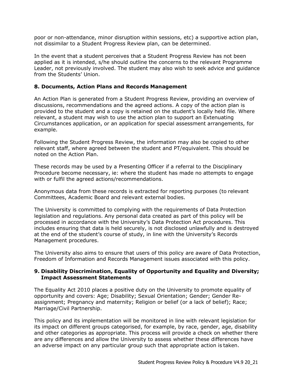poor or non-attendance, minor disruption within sessions, etc) a supportive action plan, not dissimilar to a Student Progress Review plan, can be determined.

In the event that a student perceives that a Student Progress Review has not been applied as it is intended, s/he should outline the concerns to the relevant Programme Leader, not previously involved. The student may also wish to seek advice and guidance from the Students' Union.

#### <span id="page-6-0"></span>**8. Documents, Action Plans and Records Management**

An Action Plan is generated from a Student Progress Review, providing an overview of discussions, recommendations and the agreed actions. A copy of the action plan is provided to the student and a copy is retained on the student's locally held file. Where relevant, a student may wish to use the action plan to support an Extenuating Circumstances application, or an application for special assessment arrangements, for example.

Following the Student Progress Review, the information may also be copied to other relevant staff, where agreed between the student and PT/equivalent. This should be noted on the Action Plan.

These records may be used by a Presenting Officer if a referral to the Disciplinary Procedure become necessary, ie: where the student has made no attempts to engage with or fulfil the agreed actions/recommendations.

Anonymous data from these records is extracted for reporting purposes (to relevant Committees, Academic Board and relevant external bodies.

The University is committed to complying with the requirements of Data Protection legislation and regulations. Any personal data created as part of this policy will be processed in accordance with the University's Data Protection Act procedures. This includes ensuring that data is held securely, is not disclosed unlawfully and is destroyed at the end of the student's course of study, in line with the University's Records Management procedures.

The University also aims to ensure that users of this policy are aware of Data Protection, Freedom of Information and Records Management issues associated with this policy.

#### <span id="page-6-1"></span>**9. Disability Discrimination, Equality of Opportunity and Equality and Diversity; Impact Assessment Statements**

The Equality Act 2010 places a positive duty on the University to promote equality of opportunity and covers: Age; Disability; Sexual Orientation; Gender; Gender Reassignment; Pregnancy and maternity; Religion or belief (or a lack of belief); Race; Marriage/Civil Partnership.

This policy and its implementation will be monitored in line with relevant legislation for its impact on different groups categorised, for example, by race, gender, age, disability and other categories as appropriate. This process will provide a check on whether there are any differences and allow the University to assess whether these differences have an adverse impact on any particular group such that appropriate action is taken.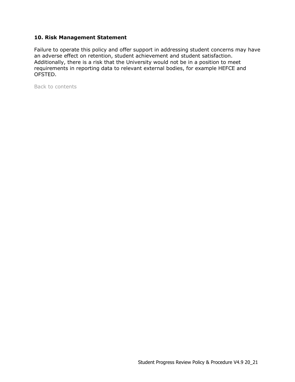#### <span id="page-7-0"></span>**10. Risk Management Statement**

Failure to operate this policy and offer support in addressing student concerns may have an adverse effect on retention, student achievement and student satisfaction. Additionally, there is a risk that the University would not be in a position to meet requirements in reporting data to relevant external bodies, for example HEFCE and OFSTED.

[Back to contents](#page-0-0)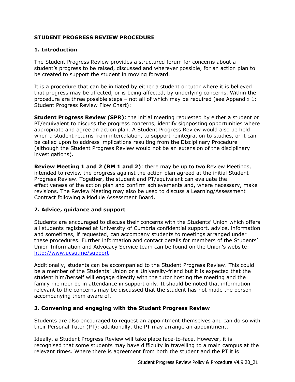## **STUDENT PROGRESS REVIEW PROCEDURE**

### <span id="page-8-0"></span>**1. Introduction**

The Student Progress Review provides a structured forum for concerns about a student's progress to be raised, discussed and wherever possible, for an action plan to be created to support the student in moving forward.

It is a procedure that can be initiated by either a student or tutor where it is believed that progress may be affected, or is being affected, by underlying concerns. Within the procedure are three possible steps – not all of which may be required (see Appendix 1: Student Progress Review Flow Chart):

**Student Progress Review (SPR)**: the initial meeting requested by either a student or PT/equivalent to discuss the progress concerns, identify signposting opportunities where appropriate and agree an action plan. A Student Progress Review would also be held when a student returns from intercalation, to support reintegration to studies, or it can be called upon to address implications resulting from the Disciplinary Procedure (although the Student Progress Review would not be an extension of the disciplinary investigations).

**Review Meeting 1 and 2 (RM 1 and 2)**: there may be up to two Review Meetings, intended to review the progress against the action plan agreed at the initial Student Progress Review. Together, the student and PT/equivalent can evaluate the effectiveness of the action plan and confirm achievements and, where necessary, make revisions. The Review Meeting may also be used to discuss a Learning/Assessment Contract following a Module Assessment Board.

## <span id="page-8-1"></span>**2. Advice, guidance and support**

Students are encouraged to discuss their concerns with the Students' Union which offers all students registered at University of Cumbria confidential support, advice, information and sometimes, if requested, can accompany students to meetings arranged under these procedures. Further information and contact details for members of the Students' Union Information and Advocacy Service team can be found on the Union's website: <http://www.ucsu.me/support>

Additionally, students can be accompanied to the Student Progress Review. This could be a member of the Students' Union or a University-friend but it is expected that the student him/herself will engage directly with the tutor hosting the meeting and the family member be in attendance in support only. It should be noted that information relevant to the concerns may be discussed that the student has not made the person accompanying them aware of.

## <span id="page-8-2"></span>**3. Convening and engaging with the Student Progress Review**

Students are also encouraged to request an appointment themselves and can do so with their Personal Tutor (PT); additionally, the PT may arrange an appointment.

Ideally, a Student Progress Review will take place face-to-face. However, it is recognised that some students may have difficulty in travelling to a main campus at the relevant times. Where there is agreement from both the student and the PT it is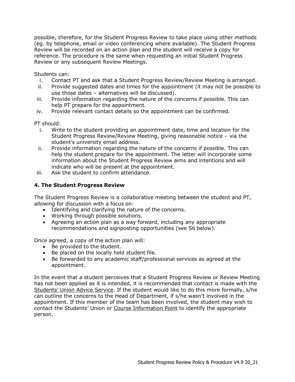<span id="page-9-1"></span>possible, therefore, for the Student Progress Review to take place using other methods (eg. by telephone, email or video conferencing where available). The Student Progress Review will be recorded on an action plan and the student will receive a copy for reference. The procedure is the same when requesting an initial Student Progress Review or any subsequent Review Meetings.

Students can:

- i. Contact PT and ask that a Student Progress Review/Review Meeting is arranged.
- ii. Provide suggested dates and times for the appointment (it may not be possible to use those dates – alternatives will be discussed).
- iii. Provide information regarding the nature of the concerns if possible. This can help PT prepare for the appointment.
- iv. Provide relevant contact details so the appointment can be confirmed.

PT should:

- i. Write to the student providing an appointment date, time and location for the Student Progress Review/Review Meeting, giving reasonable notice – via the student's university email address.
- ii. Provide information regarding the nature of the concerns if possible. This can help the student prepare for the appointment. The letter will incorporate some information about the Student Progress Review aims and intentions and will indicate who will be present at the appointment.
- iii. Ask the student to confirm attendance.

## <span id="page-9-0"></span>**4. The Student Progress Review**

The Student Progress Review is a collaborative meeting between the student and PT, allowing for discussion with a focus on:

- Identifying and clarifying the nature of the concerns.
- Working through possible solutions.
- Agreeing an action plan as a way forward, including any appropriate recommendations and signposting opportunities (see S6 below).

Once agreed, a copy of the action plan will:

- Be provided to the student.
- Be placed on the locally held student file.
- Be forwarded to any academic staff/professional services as agreed at the appointment.

In the event that a student perceives that a Student Progress Review or Review Meeting has not been applied as it is intended, it is recommended that contact is made with the [Students' Union Advice Service.](http://www.ucsu.me/support) If the student would like to do this more formally, s/he can outline the concerns to the Head of Department, if s/he wasn't involved in the appointment. If this member of the team has been involved, the student may wish to contact the Students' Union or [Course Information Point](http://www.cumbria.ac.uk/StudentLife/Support/YourStudies/CourseInformationPoint/Home.aspx) to identify the appropriate person.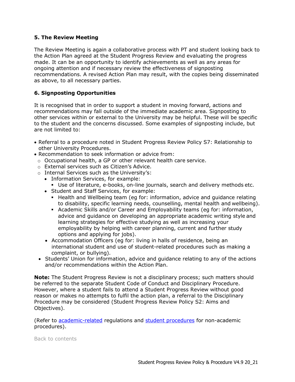### **5. The Review Meeting**

The Review Meeting is again a collaborative process with PT and student looking back to the Action Plan agreed at the Student Progress Review and evaluating the progress made. It can be an opportunity to identify achievements as well as any areas for ongoing attention and if necessary review the effectiveness of signposting recommendations. A revised Action Plan may result, with the copies being disseminated as above, to all necessary parties.

## <span id="page-10-0"></span>**6. Signposting Opportunities**

It is recognised that in order to support a student in moving forward, actions and recommendations may fall outside of the immediate academic area. Signposting to other services within or external to the University may be helpful. These will be specific to the student and the concerns discussed. Some examples of signposting include, but are not limited to:

- Referral to a procedure noted in Student Progress Review Policy S7: Relationship to other University Procedures.
- Recommendation to seek information or advice from:
	- $\circ$  Occupational health, a GP or other relevant health care service.
	- o External services such as Citizen's Advice.
	- o Internal Services such as the University's:
		- Information Services, for example:
			- Use of literature, e-books, on-line journals, search and delivery methods etc.
		- Student and Staff Services, for example:
			- **EXECT** Health and Wellbeing team (eg for: information, advice and guidance relating to disability, specific learning needs, counselling, mental health and wellbeing).
			- Academic Skills and/or Career and Employability teams (eg for: information, advice and guidance on developing an appropriate academic writing style and learning strategies for effective studying as well as increasing your employability by helping with career planning, current and further study options and applying for jobs).
		- Accommodation Officers (eg for: living in halls of residence, being an international student and use of student-related procedures such as making a complaint, or bullying).
	- Students' Union for information, advice and guidance relating to any of the actions and/or recommendations within the Action Plan.

**Note:** The Student Progress Review is not a disciplinary process; such matters should be referred to the separate Student Code of Conduct and Disciplinary Procedure. However, where a student fails to attend a Student Progress Review without good reason or makes no attempts to fulfil the action plan, a referral to the Disciplinary Procedure may be considered (Student Progress Review Policy S2: Aims and Objectives).

(Refer to [academic-related](http://my.cumbria.ac.uk/StudentLife/Support/YourStudies/AssessmentandExams/AcademicRegulations.aspx) regulations and [student procedures](http://www.cumbria.ac.uk/studentprocedures) for non-academic procedures).

[Back to contents](#page-0-0)